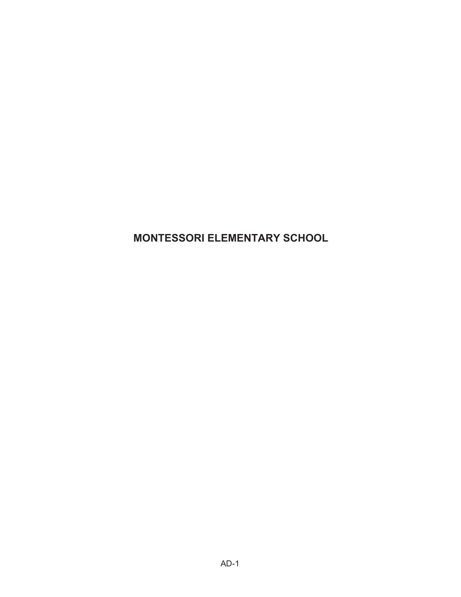**MONTESSORI ELEMENTARY SCHOOL**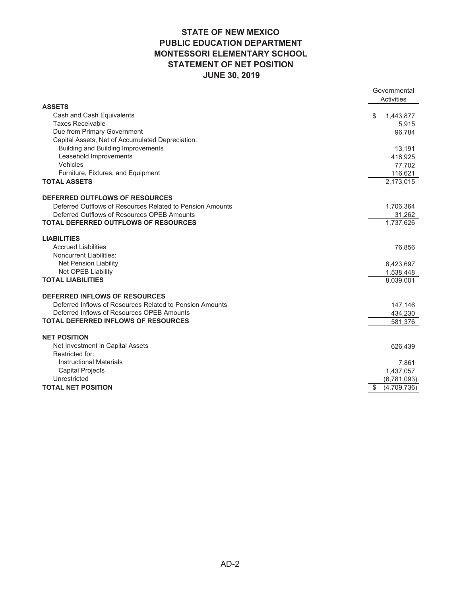#### **STATE OF NEW MEXICO PUBLIC EDUCATION DEPARTMENT MONTESSORI ELEMENTARY SCHOOL STATEMENT OF NET POSITION JUNE 30, 2019**

|                                                           | Governmental<br>Activities |
|-----------------------------------------------------------|----------------------------|
| <b>ASSETS</b>                                             |                            |
| Cash and Cash Equivalents                                 | 1,443,877<br>\$            |
| <b>Taxes Receivable</b>                                   | 5,915                      |
| Due from Primary Government                               | 96,784                     |
| Capital Assets, Net of Accumulated Depreciation:          |                            |
| <b>Building and Building Improvements</b>                 | 13,191                     |
| Leasehold Improvements                                    | 418,925                    |
| Vehicles                                                  | 77,702                     |
| Furniture, Fixtures, and Equipment                        | 116,621                    |
| <b>TOTAL ASSETS</b>                                       | 2,173,015                  |
| <b>DEFERRED OUTFLOWS OF RESOURCES</b>                     |                            |
| Deferred Outflows of Resources Related to Pension Amounts | 1,706,364                  |
| Deferred Outflows of Resources OPEB Amounts               | 31,262                     |
| <b>TOTAL DEFERRED OUTFLOWS OF RESOURCES</b>               | 1,737,626                  |
| <b>LIABILITIES</b>                                        |                            |
| <b>Accrued Liabilities</b>                                | 76,856                     |
| <b>Noncurrent Liabilities:</b>                            |                            |
| <b>Net Pension Liability</b>                              | 6,423,697                  |
| <b>Net OPEB Liability</b>                                 | 1,538,448                  |
| <b>TOTAL LIABILITIES</b>                                  | 8,039,001                  |
| DEFERRED INFLOWS OF RESOURCES                             |                            |
| Deferred Inflows of Resources Related to Pension Amounts  | 147,146                    |
| Deferred Inflows of Resources OPEB Amounts                | 434,230                    |
| <b>TOTAL DEFERRED INFLOWS OF RESOURCES</b>                | 581,376                    |
| <b>NET POSITION</b>                                       |                            |
| Net Investment in Capital Assets                          | 626,439                    |
| Restricted for:                                           |                            |
| <b>Instructional Materials</b>                            | 7,861                      |
| <b>Capital Projects</b>                                   | 1,437,057                  |
| Unrestricted                                              | (6,781,093)                |
| <b>TOTAL NET POSITION</b>                                 | \$<br>(4,709,736)          |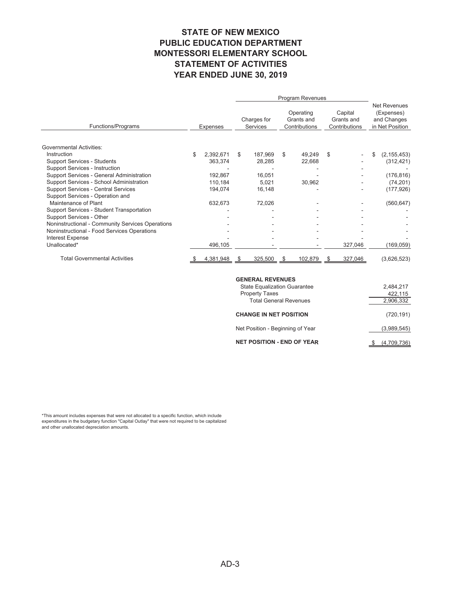#### **STATE OF NEW MEXICO PUBLIC EDUCATION DEPARTMENT MONTESSORI ELEMENTARY SCHOOL STATEMENT OF ACTIVITIES YEAR ENDED JUNE 30, 2019**

|                                                  |    |           | Program Revenues |                                |              |                                          |    |                                        |    |                                                                     |  |
|--------------------------------------------------|----|-----------|------------------|--------------------------------|--------------|------------------------------------------|----|----------------------------------------|----|---------------------------------------------------------------------|--|
| Functions/Programs                               |    | Expenses  |                  | Charges for<br><b>Services</b> |              | Operating<br>Grants and<br>Contributions |    | Capital<br>Grants and<br>Contributions |    | <b>Net Revenues</b><br>(Expenses)<br>and Changes<br>in Net Position |  |
| <b>Governmental Activities:</b>                  |    |           |                  |                                |              |                                          |    |                                        |    |                                                                     |  |
| Instruction                                      | \$ | 2,392,671 | \$               | 187.969                        | \$           | 49,249                                   | \$ |                                        | \$ | (2, 155, 453)                                                       |  |
| <b>Support Services - Students</b>               |    | 363,374   |                  | 28,285                         |              | 22,668                                   |    |                                        |    | (312, 421)                                                          |  |
| <b>Support Services - Instruction</b>            |    |           |                  |                                |              |                                          |    |                                        |    |                                                                     |  |
| Support Services - General Administration        |    | 192,867   |                  | 16,051                         |              |                                          |    |                                        |    | (176, 816)                                                          |  |
| Support Services - School Administration         |    | 110,184   |                  | 5,021                          |              | 30,962                                   |    |                                        |    | (74, 201)                                                           |  |
| <b>Support Services - Central Services</b>       |    | 194,074   |                  | 16,148                         |              |                                          |    |                                        |    | (177, 926)                                                          |  |
| Support Services - Operation and                 |    |           |                  |                                |              |                                          |    |                                        |    |                                                                     |  |
| Maintenance of Plant                             |    | 632,673   |                  | 72,026                         |              |                                          |    |                                        |    | (560, 647)                                                          |  |
| Support Services - Student Transportation        |    |           |                  |                                |              |                                          |    |                                        |    |                                                                     |  |
| Support Services - Other                         |    |           |                  |                                |              |                                          |    |                                        |    |                                                                     |  |
| Noninstructional - Community Services Operations |    |           |                  |                                |              |                                          |    |                                        |    |                                                                     |  |
| Noninstructional - Food Services Operations      |    |           |                  |                                |              |                                          |    |                                        |    |                                                                     |  |
| <b>Interest Expense</b><br>Unallocated*          |    |           |                  |                                |              |                                          |    |                                        |    |                                                                     |  |
|                                                  |    | 496,105   |                  |                                |              |                                          |    | 327,046                                |    | (169, 059)                                                          |  |
| <b>Total Governmental Activities</b>             |    | 4,381,948 |                  | 325,500                        | <sup>S</sup> | 102,879                                  |    | 327,046                                |    | (3,626,523)                                                         |  |

#### **GENERAL REVENUES**

| <b>State Equalization Guarantee</b> | 2.484.217   |
|-------------------------------------|-------------|
| <b>Property Taxes</b>               | 422,115     |
| <b>Total General Revenues</b>       | 2,906,332   |
| <b>CHANGE IN NET POSITION</b>       | (720, 191)  |
| Net Position - Beginning of Year    | (3,989,545) |
| <b>NET POSITION - END OF YEAR</b>   | (4,709,736) |

\*This amount includes expenses that were not allocated to a specific function, which include expenditures in the budgetary function "Capital Outlay" that were not required to be capitalized and other unallocated depreciation amounts.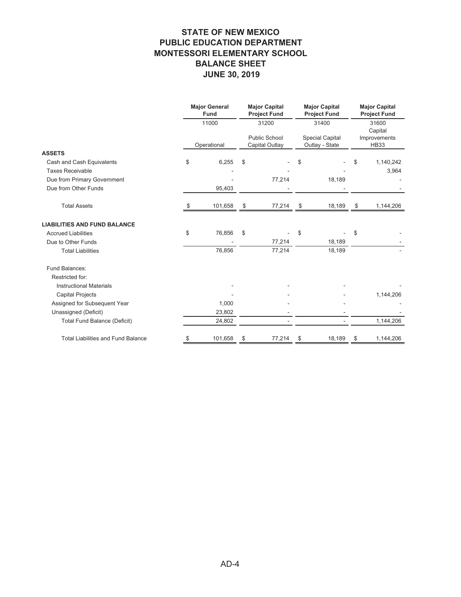#### **STATE OF NEW MEXICO PUBLIC EDUCATION DEPARTMENT MONTESSORI ELEMENTARY SCHOOL BALANCE SHEET JUNE 30, 2019**

|                                           | <b>Major General</b><br>Fund |         | <b>Major Capital</b><br><b>Project Fund</b>     |        | <b>Major Capital</b><br><b>Project Fund</b>       |        | <b>Major Capital</b><br><b>Project Fund</b>     |           |
|-------------------------------------------|------------------------------|---------|-------------------------------------------------|--------|---------------------------------------------------|--------|-------------------------------------------------|-----------|
|                                           | 11000<br>Operational         |         | 31200<br><b>Public School</b><br>Capital Outlay |        | 31400<br><b>Special Capital</b><br>Outlay - State |        | 31600<br>Capital<br>Improvements<br><b>HB33</b> |           |
|                                           |                              |         |                                                 |        |                                                   |        |                                                 |           |
| <b>ASSETS</b>                             |                              |         |                                                 |        |                                                   |        |                                                 |           |
| Cash and Cash Equivalents                 | \$                           | 6,255   | \$                                              |        | \$                                                |        | \$                                              | 1,140,242 |
| <b>Taxes Receivable</b>                   |                              |         |                                                 |        |                                                   |        |                                                 | 3,964     |
| Due from Primary Government               |                              |         |                                                 | 77,214 |                                                   | 18,189 |                                                 |           |
| Due from Other Funds                      |                              | 95,403  |                                                 |        |                                                   |        |                                                 |           |
| <b>Total Assets</b>                       |                              | 101,658 | \$                                              | 77,214 | \$                                                | 18,189 | \$                                              | 1,144,206 |
| <b>LIABILITIES AND FUND BALANCE</b>       |                              |         |                                                 |        |                                                   |        |                                                 |           |
| <b>Accrued Liabilities</b>                | \$                           | 76,856  | \$                                              |        | \$                                                |        | \$                                              |           |
| Due to Other Funds                        |                              |         |                                                 | 77,214 |                                                   | 18,189 |                                                 |           |
| <b>Total Liabilities</b>                  |                              | 76,856  |                                                 | 77,214 |                                                   | 18,189 |                                                 |           |
| Fund Balances:                            |                              |         |                                                 |        |                                                   |        |                                                 |           |
| Restricted for:                           |                              |         |                                                 |        |                                                   |        |                                                 |           |
| <b>Instructional Materials</b>            |                              |         |                                                 |        |                                                   |        |                                                 |           |
| <b>Capital Projects</b>                   |                              |         |                                                 |        |                                                   |        |                                                 | 1,144,206 |
| Assigned for Subsequent Year              |                              | 1,000   |                                                 |        |                                                   |        |                                                 |           |
| Unassigned (Deficit)                      |                              | 23,802  |                                                 |        |                                                   |        |                                                 |           |
| <b>Total Fund Balance (Deficit)</b>       |                              | 24,802  |                                                 |        |                                                   |        |                                                 | 1,144,206 |
| <b>Total Liabilities and Fund Balance</b> | \$                           | 101,658 | \$                                              | 77,214 | \$                                                | 18,189 | \$                                              | 1,144,206 |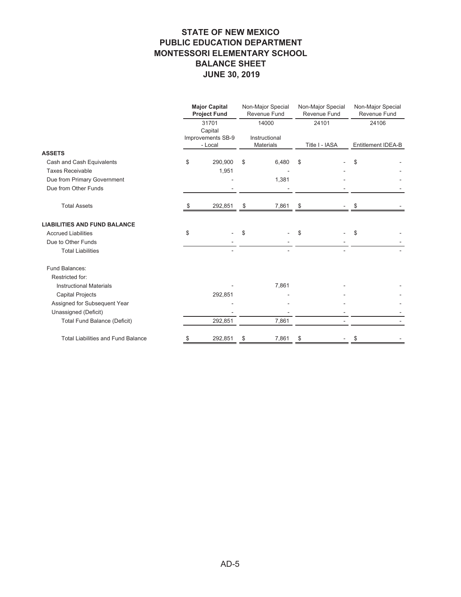#### **STATE OF NEW MEXICO PUBLIC EDUCATION DEPARTMENT MONTESSORI ELEMENTARY SCHOOL BALANCE SHEET JUNE 30, 2019**

|                                           | <b>Major Capital</b><br><b>Project Fund</b> | Non-Major Special<br><b>Revenue Fund</b> |       |                | Non-Major Special<br>Revenue Fund | Non-Major Special<br><b>Revenue Fund</b> |
|-------------------------------------------|---------------------------------------------|------------------------------------------|-------|----------------|-----------------------------------|------------------------------------------|
|                                           | 31701<br>Capital                            |                                          | 14000 |                | 24101                             | 24106                                    |
|                                           | Improvements SB-9<br>- Local                | Instructional<br><b>Materials</b>        |       | Title I - IASA |                                   | Entitlement IDEA-B                       |
| <b>ASSETS</b>                             |                                             |                                          |       |                |                                   |                                          |
| Cash and Cash Equivalents                 | \$<br>290,900                               | \$                                       | 6,480 | \$             |                                   | \$                                       |
| <b>Taxes Receivable</b>                   | 1,951                                       |                                          |       |                |                                   |                                          |
| Due from Primary Government               |                                             |                                          | 1,381 |                |                                   |                                          |
| Due from Other Funds                      |                                             |                                          |       |                |                                   |                                          |
| <b>Total Assets</b>                       | \$<br>292,851                               | \$                                       | 7,861 | \$             |                                   | \$                                       |
| <b>LIABILITIES AND FUND BALANCE</b>       |                                             |                                          |       |                |                                   |                                          |
| <b>Accrued Liabilities</b>                | \$                                          | \$                                       |       | \$             |                                   | \$                                       |
| Due to Other Funds                        |                                             |                                          |       |                |                                   |                                          |
| <b>Total Liabilities</b>                  |                                             |                                          |       |                |                                   |                                          |
| Fund Balances:                            |                                             |                                          |       |                |                                   |                                          |
| Restricted for:                           |                                             |                                          |       |                |                                   |                                          |
| <b>Instructional Materials</b>            |                                             |                                          | 7,861 |                |                                   |                                          |
| <b>Capital Projects</b>                   | 292,851                                     |                                          |       |                |                                   |                                          |
| Assigned for Subsequent Year              |                                             |                                          |       |                |                                   |                                          |
| Unassigned (Deficit)                      |                                             |                                          |       |                |                                   |                                          |
| <b>Total Fund Balance (Deficit)</b>       | 292,851                                     |                                          | 7,861 |                |                                   |                                          |
| <b>Total Liabilities and Fund Balance</b> | \$<br>292,851                               | \$                                       | 7,861 | \$             |                                   | \$                                       |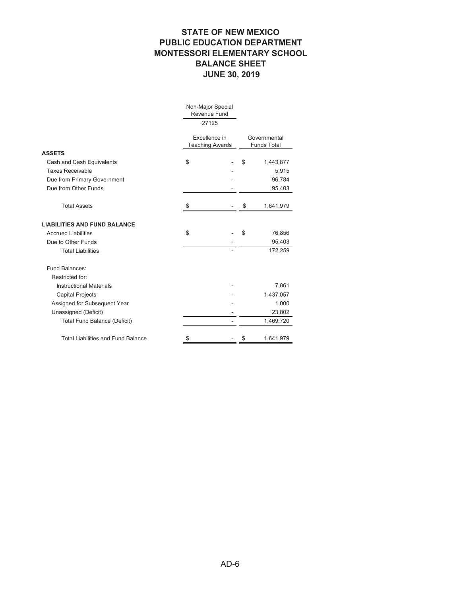#### **STATE OF NEW MEXICO PUBLIC EDUCATION DEPARTMENT MONTESSORI ELEMENTARY SCHOOL BALANCE SHEET JUNE 30, 2019**

|                                           | Non-Major Special<br>Revenue Fund       |    |                                    |
|-------------------------------------------|-----------------------------------------|----|------------------------------------|
|                                           | 27125                                   |    |                                    |
|                                           | Excellence in<br><b>Teaching Awards</b> |    | Governmental<br><b>Funds Total</b> |
| <b>ASSETS</b>                             |                                         |    |                                    |
| Cash and Cash Equivalents                 | \$                                      |    | \$<br>1,443,877                    |
| <b>Taxes Receivable</b>                   |                                         |    | 5,915                              |
| Due from Primary Government               |                                         |    | 96,784                             |
| Due from Other Funds                      |                                         |    | 95,403                             |
| <b>Total Assets</b>                       |                                         |    | \$<br>1,641,979                    |
| <b>LIABILITIES AND FUND BALANCE</b>       |                                         |    |                                    |
| <b>Accrued Liabilities</b>                | \$                                      |    | \$<br>76,856                       |
| Due to Other Funds                        |                                         |    | 95,403                             |
| <b>Total Liabilities</b>                  |                                         |    | 172,259                            |
| Fund Balances:                            |                                         |    |                                    |
| Restricted for:                           |                                         |    |                                    |
| <b>Instructional Materials</b>            |                                         |    | 7,861                              |
| <b>Capital Projects</b>                   |                                         |    | 1,437,057                          |
| Assigned for Subsequent Year              |                                         |    | 1,000                              |
| Unassigned (Deficit)                      |                                         |    | 23,802                             |
| <b>Total Fund Balance (Deficit)</b>       |                                         | ä, | 1,469,720                          |
| <b>Total Liabilities and Fund Balance</b> | \$                                      |    | \$<br>1,641,979                    |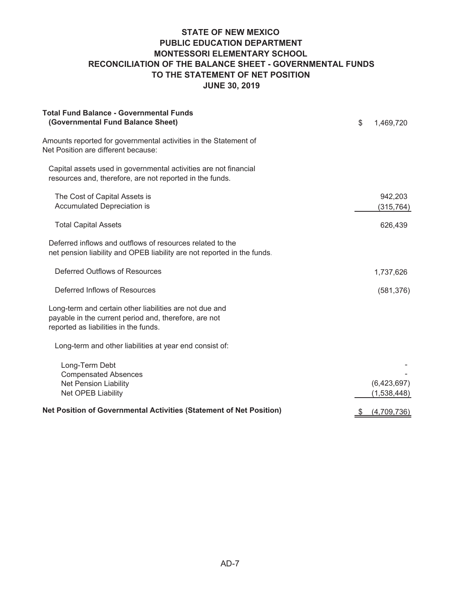#### **STATE OF NEW MEXICO PUBLIC EDUCATION DEPARTMENT MONTESSORI ELEMENTARY SCHOOL RECONCILIATION OF THE BALANCE SHEET - GOVERNMENTAL FUNDS TO THE STATEMENT OF NET POSITION JUNE 30, 2019**

| <b>Total Fund Balance - Governmental Funds</b><br>(Governmental Fund Balance Sheet)                                                                       | \$<br>1,469,720            |
|-----------------------------------------------------------------------------------------------------------------------------------------------------------|----------------------------|
| Amounts reported for governmental activities in the Statement of<br>Net Position are different because:                                                   |                            |
| Capital assets used in governmental activities are not financial<br>resources and, therefore, are not reported in the funds.                              |                            |
| The Cost of Capital Assets is<br>Accumulated Depreciation is                                                                                              | 942,203<br>(315, 764)      |
| <b>Total Capital Assets</b>                                                                                                                               | 626,439                    |
| Deferred inflows and outflows of resources related to the<br>net pension liability and OPEB liability are not reported in the funds.                      |                            |
| Deferred Outflows of Resources                                                                                                                            | 1,737,626                  |
| Deferred Inflows of Resources                                                                                                                             | (581, 376)                 |
| Long-term and certain other liabilities are not due and<br>payable in the current period and, therefore, are not<br>reported as liabilities in the funds. |                            |
| Long-term and other liabilities at year end consist of:                                                                                                   |                            |
| Long-Term Debt<br><b>Compensated Absences</b><br><b>Net Pension Liability</b><br>Net OPEB Liability                                                       | (6,423,697)<br>(1,538,448) |
| Net Position of Governmental Activities (Statement of Net Position)                                                                                       | \$<br>(4,709,736)          |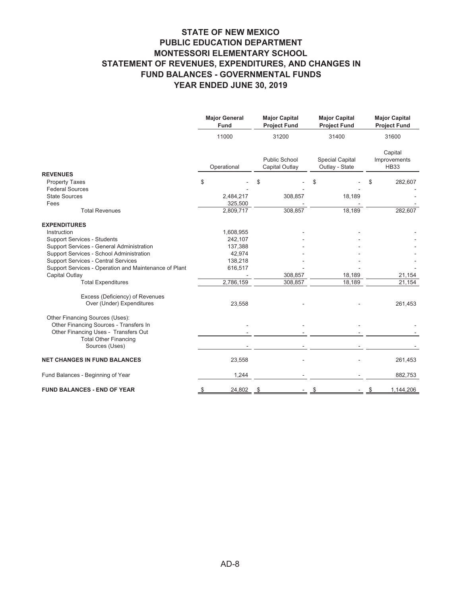#### **STATE OF NEW MEXICO PUBLIC EDUCATION DEPARTMENT MONTESSORI ELEMENTARY SCHOOL STATEMENT OF REVENUES, EXPENDITURES, AND CHANGES IN FUND BALANCES - GOVERNMENTAL FUNDS YEAR ENDED JUNE 30, 2019**

|                                                                                                                                                   | <b>Major General</b><br>Fund | <b>Major Capital</b><br><b>Project Fund</b> | <b>Major Capital</b><br><b>Project Fund</b> | <b>Major Capital</b><br><b>Project Fund</b> |  |
|---------------------------------------------------------------------------------------------------------------------------------------------------|------------------------------|---------------------------------------------|---------------------------------------------|---------------------------------------------|--|
|                                                                                                                                                   | 11000                        | 31200                                       | 31400                                       | 31600                                       |  |
|                                                                                                                                                   | Operational                  | Public School<br>Capital Outlay             | <b>Special Capital</b><br>Outlay - State    | Capital<br>Improvements<br><b>HB33</b>      |  |
| <b>REVENUES</b>                                                                                                                                   |                              |                                             |                                             |                                             |  |
| <b>Property Taxes</b>                                                                                                                             | \$                           | \$                                          | \$                                          | 282,607<br>\$                               |  |
| <b>Federal Sources</b>                                                                                                                            |                              |                                             |                                             |                                             |  |
| <b>State Sources</b>                                                                                                                              | 2,484,217                    | 308,857                                     | 18,189                                      |                                             |  |
| Fees                                                                                                                                              | 325,500                      |                                             |                                             |                                             |  |
| <b>Total Revenues</b>                                                                                                                             | 2,809,717                    | 308,857                                     | 18,189                                      | 282,607                                     |  |
| <b>EXPENDITURES</b>                                                                                                                               |                              |                                             |                                             |                                             |  |
| Instruction                                                                                                                                       | 1,608,955                    |                                             |                                             |                                             |  |
| <b>Support Services - Students</b>                                                                                                                | 242,107                      |                                             |                                             |                                             |  |
| Support Services - General Administration                                                                                                         | 137,388                      |                                             |                                             |                                             |  |
| Support Services - School Administration                                                                                                          | 42,974                       |                                             |                                             |                                             |  |
| <b>Support Services - Central Services</b>                                                                                                        | 138,218                      |                                             |                                             |                                             |  |
| Support Services - Operation and Maintenance of Plant                                                                                             | 616,517                      |                                             |                                             |                                             |  |
| Capital Outlay                                                                                                                                    |                              | 308,857                                     | 18,189                                      | 21,154                                      |  |
| <b>Total Expenditures</b>                                                                                                                         | 2,786,159                    | 308,857                                     | 18,189                                      | 21,154                                      |  |
| Excess (Deficiency) of Revenues<br>Over (Under) Expenditures                                                                                      | 23,558                       |                                             |                                             | 261,453                                     |  |
| Other Financing Sources (Uses):<br>Other Financing Sources - Transfers In<br>Other Financing Uses - Transfers Out<br><b>Total Other Financing</b> |                              |                                             |                                             |                                             |  |
| Sources (Uses)                                                                                                                                    |                              |                                             |                                             |                                             |  |
| <b>NET CHANGES IN FUND BALANCES</b>                                                                                                               | 23,558                       |                                             |                                             | 261,453                                     |  |
| Fund Balances - Beginning of Year                                                                                                                 | 1,244                        |                                             |                                             | 882,753                                     |  |
| <b>FUND BALANCES - END OF YEAR</b>                                                                                                                | 24,802<br>\$                 | S                                           | \$                                          | 1,144,206<br>\$                             |  |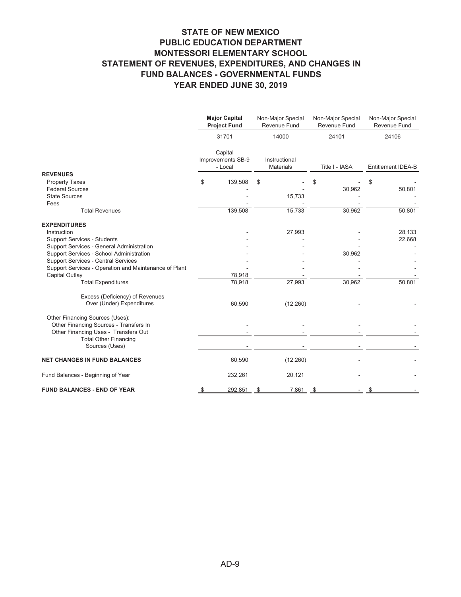#### **STATE OF NEW MEXICO PUBLIC EDUCATION DEPARTMENT MONTESSORI ELEMENTARY SCHOOL STATEMENT OF REVENUES, EXPENDITURES, AND CHANGES IN FUND BALANCES - GOVERNMENTAL FUNDS YEAR ENDED JUNE 30, 2019**

|                                                                           | <b>Major Capital</b><br>Non-Major Special<br>Revenue Fund<br><b>Project Fund</b> |                                         | Non-Major Special<br>Revenue Fund | Non-Major Special<br>Revenue Fund |                           |
|---------------------------------------------------------------------------|----------------------------------------------------------------------------------|-----------------------------------------|-----------------------------------|-----------------------------------|---------------------------|
|                                                                           |                                                                                  | 31701                                   | 14000                             | 24101                             | 24106                     |
|                                                                           |                                                                                  | Capital<br>Improvements SB-9<br>- Local | Instructional<br><b>Materials</b> | Title I - IASA                    | <b>Entitlement IDEA-B</b> |
| <b>REVENUES</b>                                                           |                                                                                  |                                         |                                   |                                   |                           |
| <b>Property Taxes</b><br><b>Federal Sources</b>                           | \$                                                                               | 139,508                                 | \$                                | \$<br>30,962                      | \$<br>50,801              |
| <b>State Sources</b><br>Fees                                              |                                                                                  |                                         | 15,733                            |                                   |                           |
| <b>Total Revenues</b>                                                     |                                                                                  | 139,508                                 | 15,733                            | 30,962                            | 50,801                    |
| <b>EXPENDITURES</b>                                                       |                                                                                  |                                         |                                   |                                   |                           |
| Instruction<br><b>Support Services - Students</b>                         |                                                                                  |                                         | 27,993                            |                                   | 28,133<br>22,668          |
| Support Services - General Administration                                 |                                                                                  |                                         |                                   |                                   |                           |
| Support Services - School Administration                                  |                                                                                  |                                         |                                   | 30,962                            |                           |
| <b>Support Services - Central Services</b>                                |                                                                                  |                                         |                                   |                                   |                           |
| Support Services - Operation and Maintenance of Plant                     |                                                                                  |                                         |                                   |                                   |                           |
| Capital Outlay                                                            |                                                                                  | 78,918                                  |                                   |                                   |                           |
| <b>Total Expenditures</b>                                                 |                                                                                  | 78,918                                  | 27,993                            | 30,962                            | 50,801                    |
| Excess (Deficiency) of Revenues<br>Over (Under) Expenditures              |                                                                                  | 60,590                                  | (12, 260)                         |                                   |                           |
| Other Financing Sources (Uses):<br>Other Financing Sources - Transfers In |                                                                                  |                                         |                                   |                                   |                           |
| Other Financing Uses - Transfers Out<br><b>Total Other Financing</b>      |                                                                                  |                                         |                                   |                                   |                           |
| Sources (Uses)                                                            |                                                                                  |                                         |                                   |                                   |                           |
| <b>NET CHANGES IN FUND BALANCES</b>                                       |                                                                                  | 60,590                                  | (12, 260)                         |                                   |                           |
| Fund Balances - Beginning of Year                                         |                                                                                  | 232,261                                 | 20,121                            |                                   |                           |
| <b>FUND BALANCES - END OF YEAR</b>                                        | \$                                                                               | 292,851                                 | 7,861<br>\$                       | \$                                | \$                        |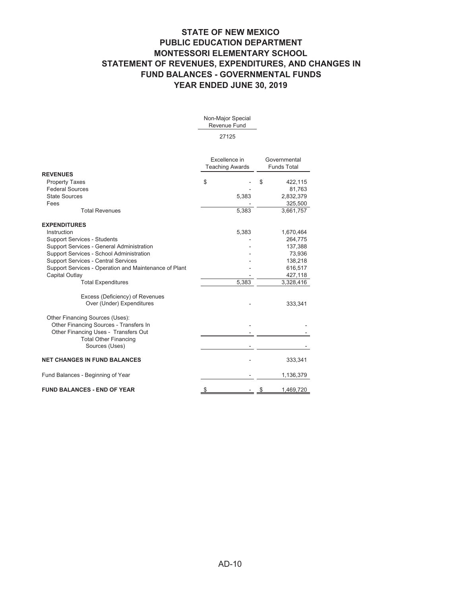#### **STATE OF NEW MEXICO PUBLIC EDUCATION DEPARTMENT MONTESSORI ELEMENTARY SCHOOL STATEMENT OF REVENUES, EXPENDITURES, AND CHANGES IN FUND BALANCES - GOVERNMENTAL FUNDS YEAR ENDED JUNE 30, 2019**

**REVENUES** Property Taxes Federal Sources State Sources Fees Total Revenues **EXPENDITURES** Instruction Support Services - Students Support Services - General Administration Support Services - School Administration Support Services - Central Services Support Services - Operation and Maintenance of Plant Capital Outlay Total Expenditures Excess (Deficiency) of Revenues Over (Under) Expenditures Other Financing Sources (Uses): Other Financing Sources - Transfers In Other Financing Uses - Transfers Out Total Other Financing Sources (Uses) **NET CHANGES IN FUND BALANCES** Fund Balances - Beginning of Year **FUND BALANCES - END OF YEAR** Non-Major Special Revenue Fund 27125 Excellence in Teaching Awards **Governmental** Funds Total  $\frac{1}{2}$  - \$ 422,115 81,763 2,832,379 5,383 325,500 5,383 3,661,757 1,670,464 5,383 264,775 137,388 73,936 - 138,218 616,517 - 427,118 3,328,416 5,383 333,341 - - - - - - 333,341 1,136,379  $\frac{1}{2}$   $\frac{1}{469,720}$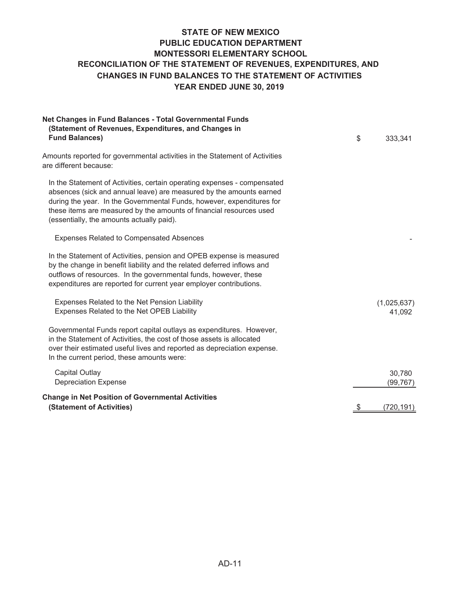#### **STATE OF NEW MEXICO PUBLIC EDUCATION DEPARTMENT MONTESSORI ELEMENTARY SCHOOL YEAR ENDED JUNE 30, 2019 CHANGES IN FUND BALANCES TO THE STATEMENT OF ACTIVITIES RECONCILIATION OF THE STATEMENT OF REVENUES, EXPENDITURES, AND**

| Net Changes in Fund Balances - Total Governmental Funds<br>(Statement of Revenues, Expenditures, and Changes in                                                                                                                                                                                                                              |                       |
|----------------------------------------------------------------------------------------------------------------------------------------------------------------------------------------------------------------------------------------------------------------------------------------------------------------------------------------------|-----------------------|
| <b>Fund Balances)</b>                                                                                                                                                                                                                                                                                                                        | \$<br>333,341         |
| Amounts reported for governmental activities in the Statement of Activities<br>are different because:                                                                                                                                                                                                                                        |                       |
| In the Statement of Activities, certain operating expenses - compensated<br>absences (sick and annual leave) are measured by the amounts earned<br>during the year. In the Governmental Funds, however, expenditures for<br>these items are measured by the amounts of financial resources used<br>(essentially, the amounts actually paid). |                       |
| <b>Expenses Related to Compensated Absences</b>                                                                                                                                                                                                                                                                                              |                       |
| In the Statement of Activities, pension and OPEB expense is measured<br>by the change in benefit liability and the related deferred inflows and<br>outflows of resources. In the governmental funds, however, these<br>expenditures are reported for current year employer contributions.                                                    |                       |
| Expenses Related to the Net Pension Liability<br>Expenses Related to the Net OPEB Liability                                                                                                                                                                                                                                                  | (1,025,637)<br>41,092 |
| Governmental Funds report capital outlays as expenditures. However,<br>in the Statement of Activities, the cost of those assets is allocated<br>over their estimated useful lives and reported as depreciation expense.<br>In the current period, these amounts were:                                                                        |                       |
| <b>Capital Outlay</b><br><b>Depreciation Expense</b>                                                                                                                                                                                                                                                                                         | 30,780<br>(99, 767)   |
| <b>Change in Net Position of Governmental Activities</b><br>(Statement of Activities)                                                                                                                                                                                                                                                        | \$<br>(720, 191)      |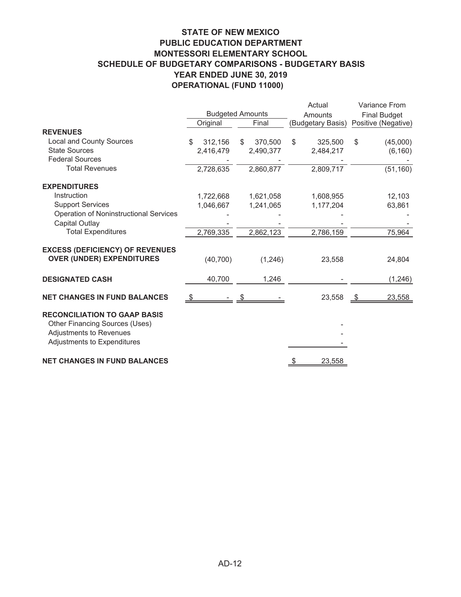### **STATE OF NEW MEXICO PUBLIC EDUCATION DEPARTMENT MONTESSORI ELEMENTARY SCHOOL SCHEDULE OF BUDGETARY COMPARISONS - BUDGETARY BASIS YEAR ENDED JUNE 30, 2019 OPERATIONAL (FUND 11000)**

|                                                                                                                                 |               |                         | Actual            | Variance From       |  |  |
|---------------------------------------------------------------------------------------------------------------------------------|---------------|-------------------------|-------------------|---------------------|--|--|
|                                                                                                                                 |               | <b>Budgeted Amounts</b> | Amounts           | <b>Final Budget</b> |  |  |
|                                                                                                                                 | Original      | Final                   | (Budgetary Basis) | Positive (Negative) |  |  |
| <b>REVENUES</b>                                                                                                                 |               |                         |                   |                     |  |  |
| <b>Local and County Sources</b>                                                                                                 | \$<br>312,156 | 370,500<br>\$           | \$<br>325,500     | \$<br>(45,000)      |  |  |
| <b>State Sources</b>                                                                                                            | 2,416,479     | 2,490,377               | 2,484,217         | (6, 160)            |  |  |
| <b>Federal Sources</b>                                                                                                          |               |                         |                   |                     |  |  |
| <b>Total Revenues</b>                                                                                                           | 2,728,635     | 2,860,877               | 2,809,717         | (51, 160)           |  |  |
| <b>EXPENDITURES</b>                                                                                                             |               |                         |                   |                     |  |  |
| Instruction                                                                                                                     | 1,722,668     | 1,621,058               | 1,608,955         | 12,103              |  |  |
| <b>Support Services</b>                                                                                                         | 1,046,667     | 1,241,065               | 1,177,204         | 63,861              |  |  |
| Operation of Noninstructional Services                                                                                          |               |                         |                   |                     |  |  |
| <b>Capital Outlay</b>                                                                                                           |               |                         |                   |                     |  |  |
| <b>Total Expenditures</b>                                                                                                       | 2,769,335     | 2,862,123               | 2,786,159         | 75,964              |  |  |
| <b>EXCESS (DEFICIENCY) OF REVENUES</b>                                                                                          |               |                         |                   |                     |  |  |
| <b>OVER (UNDER) EXPENDITURES</b>                                                                                                | (40, 700)     | (1, 246)                | 23,558            | 24,804              |  |  |
| <b>DESIGNATED CASH</b>                                                                                                          | 40,700        | 1,246                   |                   | (1, 246)            |  |  |
| <b>NET CHANGES IN FUND BALANCES</b>                                                                                             |               |                         | 23,558            | 23,558              |  |  |
| <b>RECONCILIATION TO GAAP BASIS</b><br>Other Financing Sources (Uses)<br>Adjustments to Revenues<br>Adjustments to Expenditures |               |                         |                   |                     |  |  |
| <b>NET CHANGES IN FUND BALANCES</b>                                                                                             |               |                         | 23,558            |                     |  |  |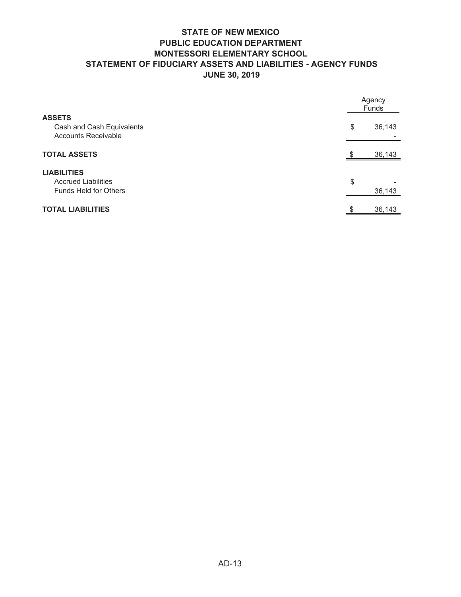## **STATE OF NEW MEXICO PUBLIC EDUCATION DEPARTMENT MONTESSORI ELEMENTARY SCHOOL STATEMENT OF FIDUCIARY ASSETS AND LIABILITIES - AGENCY FUNDS JUNE 30, 2019**

|                                                                                  | Agency<br>Funds |        |  |
|----------------------------------------------------------------------------------|-----------------|--------|--|
| <b>ASSETS</b><br>Cash and Cash Equivalents<br><b>Accounts Receivable</b>         | \$              | 36,143 |  |
| <b>TOTAL ASSETS</b>                                                              |                 | 36,143 |  |
| <b>LIABILITIES</b><br><b>Accrued Liabilities</b><br><b>Funds Held for Others</b> | \$              | 36,143 |  |
| <b>TOTAL LIABILITIES</b>                                                         |                 | 36,143 |  |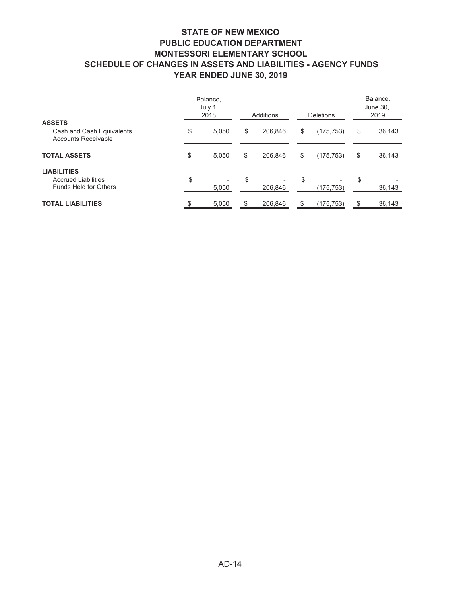#### **STATE OF NEW MEXICO PUBLIC EDUCATION DEPARTMENT MONTESSORI ELEMENTARY SCHOOL SCHEDULE OF CHANGES IN ASSETS AND LIABILITIES - AGENCY FUNDS YEAR ENDED JUNE 30, 2019**

| Balance,<br>July 1,<br>2018 |       | Additions |                                     | <b>Deletions</b> |               | Balance,<br>June 30,<br>2019 |        |
|-----------------------------|-------|-----------|-------------------------------------|------------------|---------------|------------------------------|--------|
|                             |       |           |                                     |                  |               |                              |        |
| \$                          | 5,050 | \$        | 206,846                             | \$               | (175, 753)    | \$                           | 36,143 |
|                             | 5,050 | \$        | 206,846                             | \$               | (175, 753)    |                              | 36,143 |
|                             |       |           |                                     |                  |               |                              |        |
| \$                          | 5,050 | \$        | $\overline{\phantom{0}}$<br>206,846 | \$               | (175,753)     | \$                           | 36,143 |
|                             |       |           |                                     |                  |               |                              | 36,143 |
|                             |       |           | 5,050<br>\$                         |                  | 206,846<br>\$ | (175,753)                    | \$     |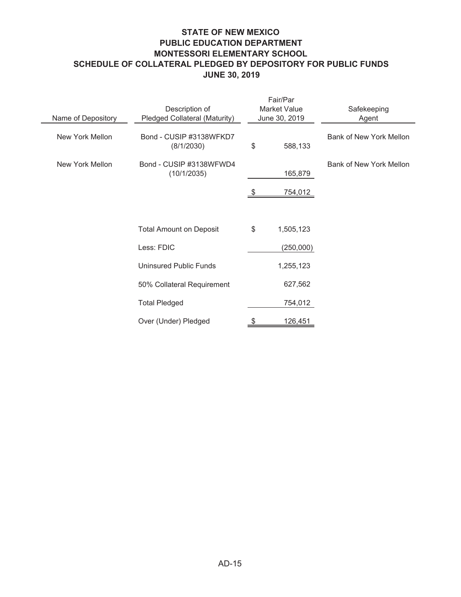## **STATE OF NEW MEXICO PUBLIC EDUCATION DEPARTMENT MONTESSORI ELEMENTARY SCHOOL SCHEDULE OF COLLATERAL PLEDGED BY DEPOSITORY FOR PUBLIC FUNDS JUNE 30, 2019**

| Name of Depository | Description of<br>Pledged Collateral (Maturity) | Fair/Par<br><b>Market Value</b><br>June 30, 2019 |                 | Safekeeping<br>Agent    |  |  |
|--------------------|-------------------------------------------------|--------------------------------------------------|-----------------|-------------------------|--|--|
| New York Mellon    | Bond - CUSIP #3138WFKD7<br>(8/1/2030)           | \$                                               | 588,133         | Bank of New York Mellon |  |  |
| New York Mellon    | Bond - CUSIP #3138WFWD4<br>(10/1/2035)          |                                                  | 165,879         | Bank of New York Mellon |  |  |
|                    |                                                 |                                                  | <u>754,012 </u> |                         |  |  |
|                    | <b>Total Amount on Deposit</b>                  | \$                                               | 1,505,123       |                         |  |  |
|                    | Less: FDIC                                      |                                                  | (250,000)       |                         |  |  |
|                    | <b>Uninsured Public Funds</b>                   |                                                  | 1,255,123       |                         |  |  |
|                    | 50% Collateral Requirement                      |                                                  | 627,562         |                         |  |  |
|                    | <b>Total Pledged</b>                            |                                                  | 754,012         |                         |  |  |
|                    | Over (Under) Pledged                            |                                                  | 126,451         |                         |  |  |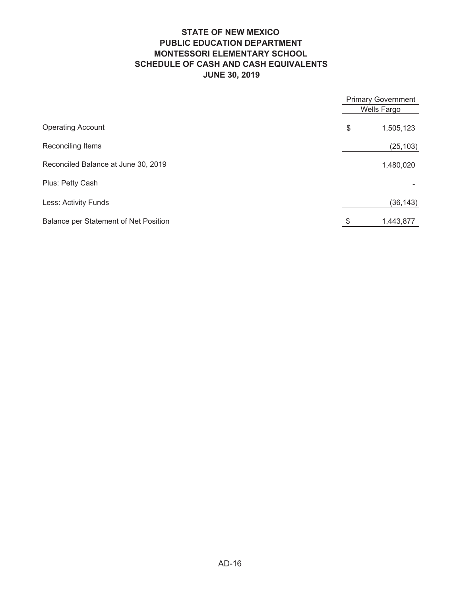## **STATE OF NEW MEXICO PUBLIC EDUCATION DEPARTMENT MONTESSORI ELEMENTARY SCHOOL SCHEDULE OF CASH AND CASH EQUIVALENTS JUNE 30, 2019**

|                                       | <b>Primary Government</b> |
|---------------------------------------|---------------------------|
|                                       | Wells Fargo               |
| <b>Operating Account</b>              | \$<br>1,505,123           |
| Reconciling Items                     | (25, 103)                 |
| Reconciled Balance at June 30, 2019   | 1,480,020                 |
| Plus: Petty Cash                      |                           |
| Less: Activity Funds                  | (36, 143)                 |
| Balance per Statement of Net Position | 1,443,877                 |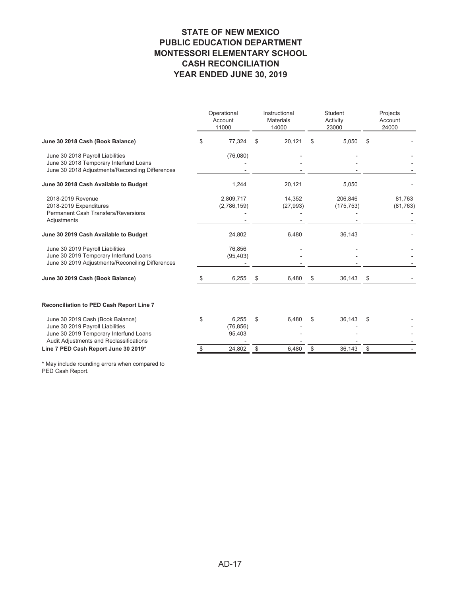#### **STATE OF NEW MEXICO PUBLIC EDUCATION DEPARTMENT MONTESSORI ELEMENTARY SCHOOL CASH RECONCILIATION YEAR ENDED JUNE 30, 2019**

| \$<br>June 30 2018 Cash (Book Balance)<br>June 30 2018 Payroll Liabilities<br>June 30 2018 Temporary Interfund Loans<br>June 30 2018 Adjustments/Reconciling Differences<br>June 30 2018 Cash Available to Budget<br>2018-2019 Revenue | 77,324<br>(76,080)<br>1,244<br>2,809,717<br>(2,786,159) | \$<br>20,121<br>20,121 | \$<br>5,050           | S  |                     |
|----------------------------------------------------------------------------------------------------------------------------------------------------------------------------------------------------------------------------------------|---------------------------------------------------------|------------------------|-----------------------|----|---------------------|
|                                                                                                                                                                                                                                        |                                                         |                        |                       |    |                     |
|                                                                                                                                                                                                                                        |                                                         |                        |                       |    |                     |
|                                                                                                                                                                                                                                        |                                                         |                        | 5,050                 |    |                     |
| 2018-2019 Expenditures<br><b>Permanent Cash Transfers/Reversions</b><br>Adjustments                                                                                                                                                    |                                                         | 14,352<br>(27, 993)    | 206,846<br>(175, 753) |    | 81,763<br>(81, 763) |
| June 30 2019 Cash Available to Budget                                                                                                                                                                                                  | 24,802                                                  | 6,480                  | 36,143                |    |                     |
| June 30 2019 Payroll Liabilities<br>June 30 2019 Temporary Interfund Loans<br>June 30 2019 Adjustments/Reconciling Differences                                                                                                         | 76,856<br>(95, 403)                                     |                        |                       |    |                     |
| June 30 2019 Cash (Book Balance)                                                                                                                                                                                                       | 6,255                                                   | \$<br>6,480            | \$<br>36,143          | \$ |                     |
| Reconciliation to PED Cash Report Line 7                                                                                                                                                                                               |                                                         |                        |                       |    |                     |
| June 30 2019 Cash (Book Balance)<br>\$<br>June 30 2019 Payroll Liabilities<br>June 30 2019 Temporary Interfund Loans<br>Audit Adjustments and Reclassifications                                                                        | 6,255<br>(76, 856)<br>95,403                            | \$<br>6,480            | \$<br>36,143          | \$ |                     |
| Line 7 PED Cash Report June 30 2019*                                                                                                                                                                                                   | 24,802                                                  | \$<br>6,480            | \$<br>36,143          | \$ |                     |

\* May include rounding errors when compared to PED Cash Report.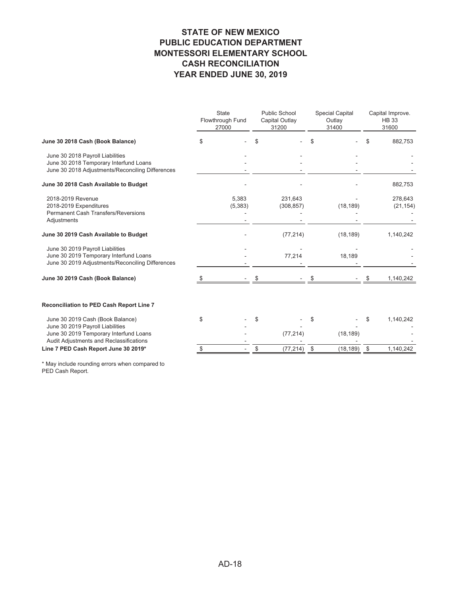#### **STATE OF NEW MEXICO PUBLIC EDUCATION DEPARTMENT MONTESSORI ELEMENTARY SCHOOL CASH RECONCILIATION YEAR ENDED JUNE 30, 2019**

|                                                                                                                                | <b>State</b><br>Flowthrough Fund<br>27000 | <b>Public School</b><br>Capital Outlay<br>31200 | <b>Special Capital</b><br>Outlay<br>31400 | Capital Improve.<br><b>HB33</b><br>31600 |
|--------------------------------------------------------------------------------------------------------------------------------|-------------------------------------------|-------------------------------------------------|-------------------------------------------|------------------------------------------|
| June 30 2018 Cash (Book Balance)                                                                                               | \$                                        | \$                                              | \$                                        | 882,753                                  |
| June 30 2018 Payroll Liabilities<br>June 30 2018 Temporary Interfund Loans<br>June 30 2018 Adjustments/Reconciling Differences |                                           |                                                 |                                           |                                          |
| June 30 2018 Cash Available to Budget                                                                                          |                                           |                                                 |                                           | 882,753                                  |
| 2018-2019 Revenue<br>2018-2019 Expenditures<br><b>Permanent Cash Transfers/Reversions</b><br>Adjustments                       | 5,383<br>(5,383)                          | 231,643<br>(308, 857)                           | (18, 189)                                 | 278,643<br>(21, 154)                     |
| June 30 2019 Cash Available to Budget                                                                                          |                                           | (77, 214)                                       | (18, 189)                                 | 1,140,242                                |
| June 30 2019 Payroll Liabilities<br>June 30 2019 Temporary Interfund Loans<br>June 30 2019 Adjustments/Reconciling Differences |                                           | 77,214                                          | 18,189                                    |                                          |
| June 30 2019 Cash (Book Balance)                                                                                               |                                           |                                                 |                                           | 1,140,242                                |
| Reconciliation to PED Cash Report Line 7                                                                                       |                                           |                                                 |                                           |                                          |
| June 30 2019 Cash (Book Balance)<br>June 30 2019 Payroll Liabilities                                                           | \$                                        | \$                                              | \$                                        | 1,140,242<br>\$                          |
| June 30 2019 Temporary Interfund Loans<br>Audit Adjustments and Reclassifications                                              |                                           | (77, 214)                                       | (18, 189)                                 |                                          |
| Line 7 PED Cash Report June 30 2019*                                                                                           |                                           | (77, 214)<br>\$                                 | \$<br>(18, 189)                           | \$<br>1,140,242                          |
|                                                                                                                                |                                           |                                                 |                                           |                                          |

\* May include rounding errors when compared to PED Cash Report.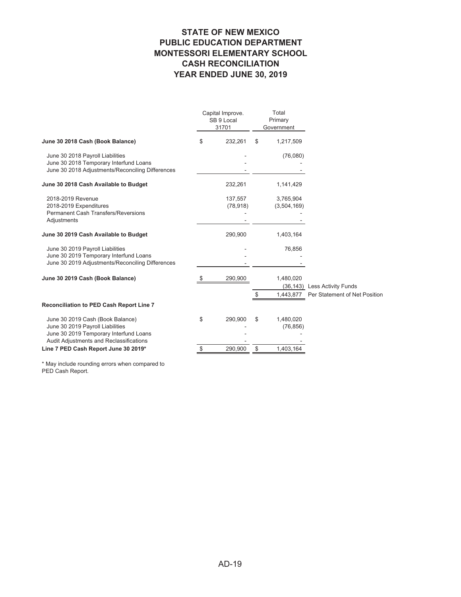#### **STATE OF NEW MEXICO PUBLIC EDUCATION DEPARTMENT MONTESSORI ELEMENTARY SCHOOL CASH RECONCILIATION YEAR ENDED JUNE 30, 2019**

|                                                                                                                                                           | Capital Improve.<br>SB 9 Local<br>31701 |                      | Total<br>Primary<br>Government |                          |                               |
|-----------------------------------------------------------------------------------------------------------------------------------------------------------|-----------------------------------------|----------------------|--------------------------------|--------------------------|-------------------------------|
| June 30 2018 Cash (Book Balance)                                                                                                                          | \$                                      | 232,261              | \$                             | 1,217,509                |                               |
| June 30 2018 Payroll Liabilities<br>June 30 2018 Temporary Interfund Loans<br>June 30 2018 Adjustments/Reconciling Differences                            |                                         |                      |                                | (76,080)                 |                               |
| June 30 2018 Cash Available to Budget                                                                                                                     |                                         | 232,261              |                                | 1,141,429                |                               |
| 2018-2019 Revenue<br>2018-2019 Expenditures<br><b>Permanent Cash Transfers/Reversions</b><br>Adjustments                                                  |                                         | 137,557<br>(78, 918) |                                | 3,765,904<br>(3,504,169) |                               |
| June 30 2019 Cash Available to Budget                                                                                                                     |                                         | 290,900              |                                | 1,403,164                |                               |
| June 30 2019 Payroll Liabilities<br>June 30 2019 Temporary Interfund Loans<br>June 30 2019 Adjustments/Reconciling Differences                            |                                         |                      |                                | 76,856                   |                               |
| June 30 2019 Cash (Book Balance)                                                                                                                          |                                         | 290,900              |                                | 1,480,020                | (36,143) Less Activity Funds  |
|                                                                                                                                                           |                                         |                      | S                              | 1,443,877                | Per Statement of Net Position |
| Reconciliation to PED Cash Report Line 7                                                                                                                  |                                         |                      |                                |                          |                               |
| June 30 2019 Cash (Book Balance)<br>June 30 2019 Payroll Liabilities<br>June 30 2019 Temporary Interfund Loans<br>Audit Adjustments and Reclassifications | \$                                      | 290,900              | \$                             | 1,480,020<br>(76, 856)   |                               |
| Line 7 PED Cash Report June 30 2019*                                                                                                                      |                                         | 290,900              | \$                             | 1,403,164                |                               |

\* May include rounding errors when compared to PED Cash Report.